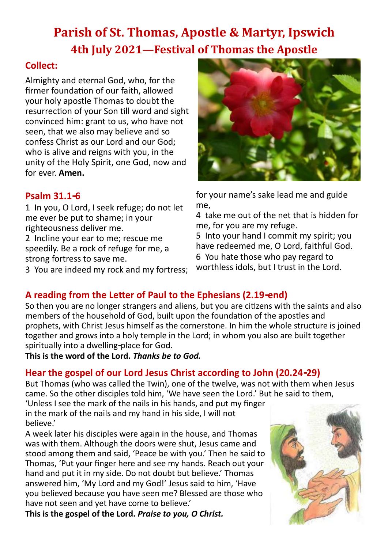# **Parish of St. Thomas, Apostle & Martyr, Ipswich 4th July 2021—Festival of Thomas the Apostle**

## **Collect:**

Almighty and eternal God, who, for the firmer foundation of our faith, allowed your holy apostle Thomas to doubt the resurrection of your Son till word and sight convinced him: grant to us, who have not seen, that we also may believe and so confess Christ as our Lord and our God; who is alive and reigns with you, in the unity of the Holy Spirit, one God, now and for ever. **Amen.**

### **Psalm 31.1-6**

1 In you, O Lord, I seek refuge; do not let me ever be put to shame; in your righteousness deliver me.

2 Incline your ear to me; rescue me speedily. Be a rock of refuge for me, a strong fortress to save me.

3 You are indeed my rock and my fortress;



for your name's sake lead me and guide me,

4 take me out of the net that is hidden for me, for you are my refuge.

5 Into your hand I commit my spirit; you have redeemed me, O Lord, faithful God. 6 You hate those who pay regard to worthless idols, but I trust in the Lord.

## **A reading from the Letter of Paul to the Ephesians (2.19-end)**

So then you are no longer strangers and aliens, but you are citizens with the saints and also members of the household of God, built upon the foundation of the apostles and prophets, with Christ Jesus himself as the cornerstone. In him the whole structure is joined together and grows into a holy temple in the Lord; in whom you also are built together spiritually into a dwelling-place for God.

**This is the word of the Lord.** *Thanks be to God.*

## **Hear the gospel of our Lord Jesus Christ according to John (20.24-29)**

But Thomas (who was called the Twin), one of the twelve, was not with them when Jesus came. So the other disciples told him, 'We have seen the Lord.' But he said to them,

'Unless I see the mark of the nails in his hands, and put my finger in the mark of the nails and my hand in his side, I will not believe.'

A week later his disciples were again in the house, and Thomas was with them. Although the doors were shut, Jesus came and stood among them and said, 'Peace be with you.' Then he said to Thomas, 'Put your finger here and see my hands. Reach out your hand and put it in my side. Do not doubt but believe.' Thomas answered him, 'My Lord and my God!' Jesus said to him, 'Have you believed because you have seen me? Blessed are those who have not seen and yet have come to believe.'

**This is the gospel of the Lord.** *Praise to you, O Christ.*